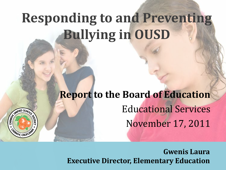### **Responding to and Preventing Bullying in OUSD**

CE CHARLED SCHOOL

MGE CALIFORN

#### **Report to the Board of Education** Educational Services November 17, 2011

**Gwenis Laura Executive Director, Elementary Education**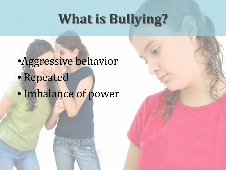#### **What is Bullying?**

#### •Aggressive behavior • Repeated • Imbalance of power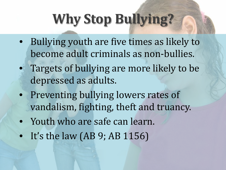### **Why Stop Bullying?**

- Bullying youth are five times as likely to become adult criminals as non-bullies.
- Targets of bullying are more likely to be depressed as adults.
- Preventing bullying lowers rates of vandalism, fighting, theft and truancy.
- Youth who are safe can learn.
- It's the law (AB 9; AB 1156)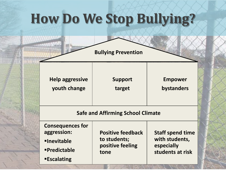#### **How Do We Stop Bullying?**

**Bullying Prevention**

**Help aggressive youth change**

**Support target**

**Empower bystanders**

#### **Safe and Affirming School Climate**

**Consequences for aggression: Inevitable Predictable tone**

**Escalating**

**Positive feedback to students; positive feeling** 

**Staff spend time with students, especially students at risk**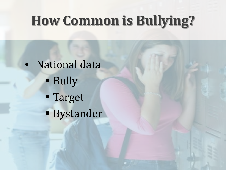#### **How Common is Bullying?**

• National data **Bully**  Target **Bystander**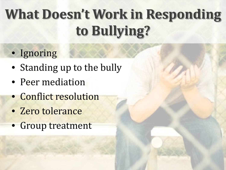## **What Doesn't Work in Responding to Bullying?**

- Ignoring
- Standing up to the bully
- Peer mediation
- Conflict resolution
- Zero tolerance
- Group treatment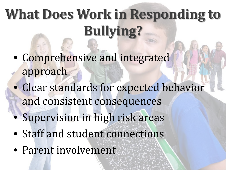## **What Does Work in Responding to Bullying?**

- Comprehensive and integrated approach
- Clear standards for expected behavior and consistent consequences
- Supervision in high risk areas
- Staff and student connections
- Parent involvement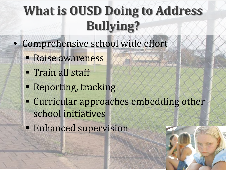- Comprehensive school wide effort
	- **Raise awareness**
	- **Train all staff**
	- **Reporting, tracking**
	- Curricular approaches embedding other school initiatives
	- **Enhanced supervision**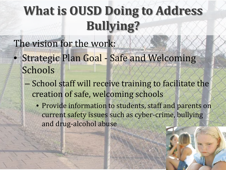The vision for the work:

- Strategic Plan Goal Safe and Welcoming Schools
	- School staff will receive training to facilitate the creation of safe, welcoming schools
		- Provide information to students, staff and parents on current safety issues such as cyber-crime, bullying and drug-alcohol abuse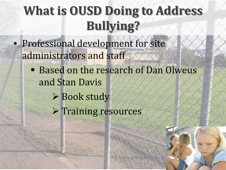- Professional development for site administrators and staff
	- **Based on the research of Dan Olweus** and Stan Davis
		- **► Book study**
		- $\triangleright$  Training resources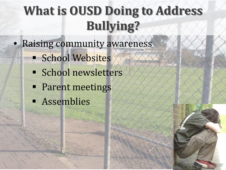- Raising community awareness
	- **School Websites**
	- **School newsletters**
	- **Parent meetings**
	- **Examples**

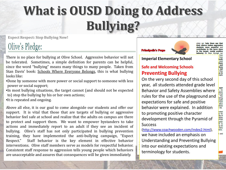**Expect Respect: Stop Bullying Now!** 

#### Olive's Pledge:

There is no place for bullying at Olive School. Aggressive behavior will not be tolerated. Sometimes, a simple definition for parents can be helpful, since the word "bullying" means many things to many people. Taken from Stan Davis' book: Schools Where Everyone Belongs, this is what bullying looks like:

•Done by someone with more power or social support to someone with less power or social support;

•In most bullying situations, the target cannot (and should not be expected to) stop the bullying by his or her own actions;

•It is repeated and ongoing.

Above all else, it is our goal to come alongside our students and offer our support. It is vital that those that are targets of bullying or aggressive behavior feel safe at school and realize that the adults on campus are there to protect and support them. We want to empower bystanders to take actions and immediately report to an adult if they see an incident of bullying. Olive's staff has not only participated in bullying prevention training, they have implemented the anti-bullying campaign, "Expect Staff behavior is the key element in effective behavior interventions. Olive staff members serve as models for respectful behavior. Consistent staff response to aggression tells young people which behaviors are unacceptable and assures that consequences will be given immediately.





when we: help them see that he target: model positive

**Imperial Elementary School**

#### **Safe and Welcoming Schools Preventing Bullying**

On the very second day of this school year, all students attended grade level Behavior and Safety Assemblies where rules for the use of the playground and expectations for safe and positive behavior were explained. In addition to promoting positive character development through the Pyramid of **Success** 

([http://www.coachwooden.com/index2.html\)](http://www.coachwooden.com/index2.html), we have included an emphasis on Understanding and Preventing Bullying into our existing expectations and terminology for students.

from nuth most them r and tions b tell **rthey** ys to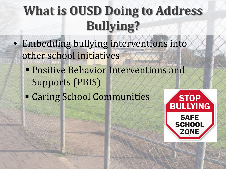- Embedding bullying interventions into other school initiatives
	- **Positive Behavior Interventions and** Supports (PBIS)
	- Caring School Communities

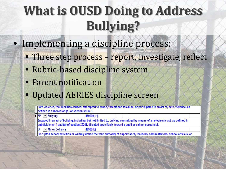- Implementing a discipline process:
	- Three step process report, investigate, reflect
	- Rubric-based discipline system
	- **Parent notification**
	- Updated AERIES discipline screen

489009(r)

Hate violence, the pupil has caused, attempted to cause, threatened to cause, or participated in an act of, hate, violence, as defined in subdivision (e) of Section 33032.5.

FP ▼ Bullying

Engaged in an act of bullying, including, but not limited to, bullying committed by means of an electronic act, as defined in subdivisions (f) and (g) of section 32261, directed specifically toward a pupil or school personnel.

- Minor Defiance 48900(k)

Disrupted school activities or willfully defied the valid authority of supervisors, teachers, administrators, school officials, or